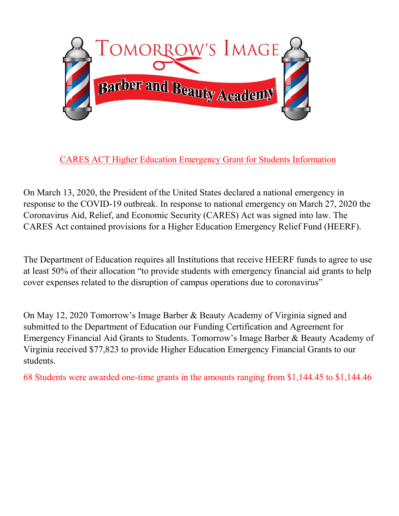

CARES ACT Higher Education Emergency Grant for Students Information

On March 13, 2020, the President of the United States declared a national emergency in response to the COVID-19 outbreak. In response to national emergency on March 27, 2020 the Coronavirus Aid, Relief, and Economic Security (CARES) Act was signed into law. The CARES Act contained provisions for a Higher Education Emergency Relief Fund (HEERF).

The Department of Education requires all Institutions that receive HEERF funds to agree to use at least 50% of their allocation "to provide students with emergency financial aid grants to help cover expenses related to the disruption of campus operations due to coronavirus"

On May 12, 2020 Tomorrow's Image Barber & Beauty Academy of Virginia signed and submitted to the Department of Education our Funding Certification and Agreement for Emergency Financial Aid Grants to Students. Tomorrow's Image Barber & Beauty Academy of Virginia received \$77,823 to provide Higher Education Emergency Financial Grants to our students.

68 Students were awarded one-time grants in the amounts ranging from \$1,144.45 to \$1,144.46